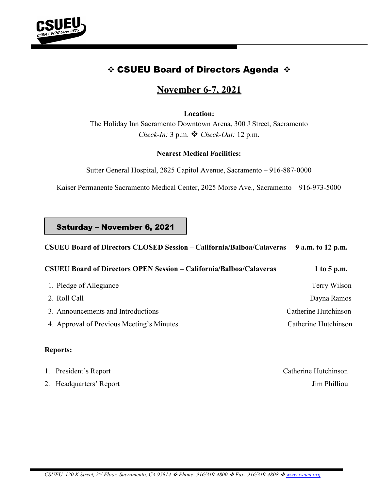

# **☆ CSUEU Board of Directors Agenda ☆**

# November 6-7, 2021

Location:

The Holiday Inn Sacramento Downtown Arena, 300 J Street, Sacramento Check-In:  $3$  p.m.  $\cdot \cdot$  Check-Out: 12 p.m.

## Nearest Medical Facilities:

Sutter General Hospital, 2825 Capitol Avenue, Sacramento – 916-887-0000

Kaiser Permanente Sacramento Medical Center, 2025 Morse Ave., Sacramento – 916-973-5000

Saturday – November 6, 2021

## CSUEU Board of Directors CLOSED Session – California/Balboa/Calaveras 9 a.m. to 12 p.m.

| <b>CSUEU Board of Directors OPEN Session – California/Balboa/Calaveras</b> | 1 to 5 p.m. |
|----------------------------------------------------------------------------|-------------|
|----------------------------------------------------------------------------|-------------|

1. Pledge of Allegiance Terry Wilson 2. Roll Call Dayna Ramos 3. Announcements and Introductions Catherine Hutchinson 4. Approval of Previous Meeting's Minutes Catherine Hutchinson

## Reports:

1. President's Report Catherine Hutchinson 2. Headquarters' Report Jim Philliou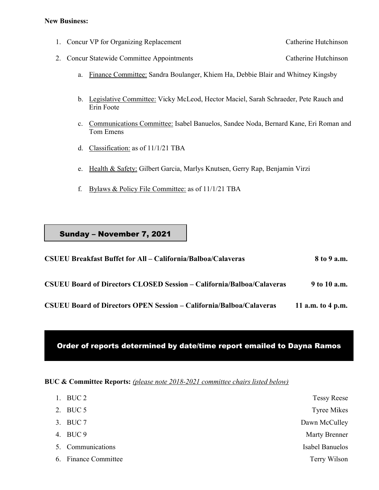#### New Business:

- 1. Concur VP for Organizing Replacement Catherine Hutchinson
- 2. Concur Statewide Committee Appointments Catherine Hutchinson
	- a. Finance Committee: Sandra Boulanger, Khiem Ha, Debbie Blair and Whitney Kingsby
	- b. Legislative Committee: Vicky McLeod, Hector Maciel, Sarah Schraeder, Pete Rauch and Erin Foote
	- c. Communications Committee: Isabel Banuelos, Sandee Noda, Bernard Kane, Eri Roman and Tom Emens
	- d. Classification: as of 11/1/21 TBA
	- e. Health & Safety: Gilbert Garcia, Marlys Knutsen, Gerry Rap, Benjamin Virzi
	- f. Bylaws & Policy File Committee: as of 11/1/21 TBA

## Sunday – November 7, 2021

| <b>CSUEU Breakfast Buffet for All - California/Balboa/Calaveras</b>          | 8 to 9 a.m.       |
|------------------------------------------------------------------------------|-------------------|
| <b>CSUEU Board of Directors CLOSED Session – California/Balboa/Calaveras</b> | 9 to 10 a.m.      |
| <b>CSUEU Board of Directors OPEN Session – California/Balboa/Calaveras</b>   | 11 a.m. to 4 p.m. |

## Order of reports determined by date/time report emailed to Dayna Ramos

BUC & Committee Reports: (please note 2018-2021 committee chairs listed below)

| 1. BUC 2             | <b>Tessy Reese</b>   |
|----------------------|----------------------|
| 2. BUC 5             | Tyree Mikes          |
| 3. BUC 7             | Dawn McCulley        |
| 4. BUC 9             | <b>Marty Brenner</b> |
| 5. Communications    | Isabel Banuelos      |
| 6. Finance Committee | Terry Wilson         |